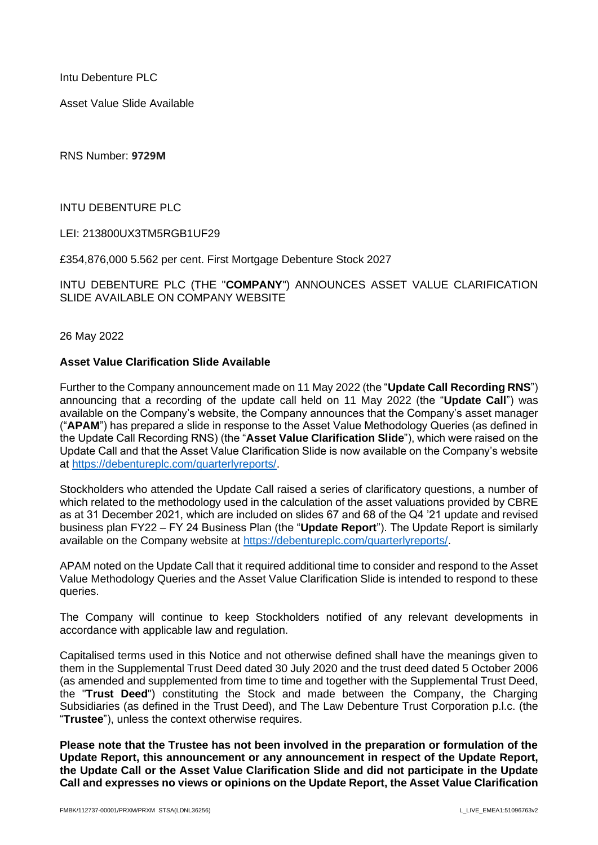Intu Debenture PLC

Asset Value Slide Available

RNS Number: **9729M**

INTU DEBENTURE PLC

LEI: 213800UX3TM5RGB1UF29

£354,876,000 5.562 per cent. First Mortgage Debenture Stock 2027

INTU DEBENTURE PLC (THE "**COMPANY**") ANNOUNCES ASSET VALUE CLARIFICATION SLIDE AVAILABLE ON COMPANY WEBSITE

26 May 2022

## **Asset Value Clarification Slide Available**

Further to the Company announcement made on 11 May 2022 (the "**Update Call Recording RNS**") announcing that a recording of the update call held on 11 May 2022 (the "**Update Call**") was available on the Company's website, the Company announces that the Company's asset manager ("**APAM**") has prepared a slide in response to the Asset Value Methodology Queries (as defined in the Update Call Recording RNS) (the "**Asset Value Clarification Slide**"), which were raised on the Update Call and that the Asset Value Clarification Slide is now available on the Company's website at [https://debentureplc.com/quarterlyreports/.](https://debentureplc.com/quarterlyreports/)

Stockholders who attended the Update Call raised a series of clarificatory questions, a number of which related to the methodology used in the calculation of the asset valuations provided by CBRE as at 31 December 2021, which are included on slides 67 and 68 of the Q4 '21 update and revised business plan FY22 – FY 24 Business Plan (the "**Update Report**"). The Update Report is similarly available on the Company website at [https://debentureplc.com/quarterlyreports/.](https://debentureplc.com/quarterlyreports/)

APAM noted on the Update Call that it required additional time to consider and respond to the Asset Value Methodology Queries and the Asset Value Clarification Slide is intended to respond to these queries.

The Company will continue to keep Stockholders notified of any relevant developments in accordance with applicable law and regulation.

Capitalised terms used in this Notice and not otherwise defined shall have the meanings given to them in the Supplemental Trust Deed dated 30 July 2020 and the trust deed dated 5 October 2006 (as amended and supplemented from time to time and together with the Supplemental Trust Deed, the "**Trust Deed**") constituting the Stock and made between the Company, the Charging Subsidiaries (as defined in the Trust Deed), and The Law Debenture Trust Corporation p.l.c. (the "**Trustee**"), unless the context otherwise requires.

**Please note that the Trustee has not been involved in the preparation or formulation of the Update Report, this announcement or any announcement in respect of the Update Report, the Update Call or the Asset Value Clarification Slide and did not participate in the Update Call and expresses no views or opinions on the Update Report, the Asset Value Clarification**